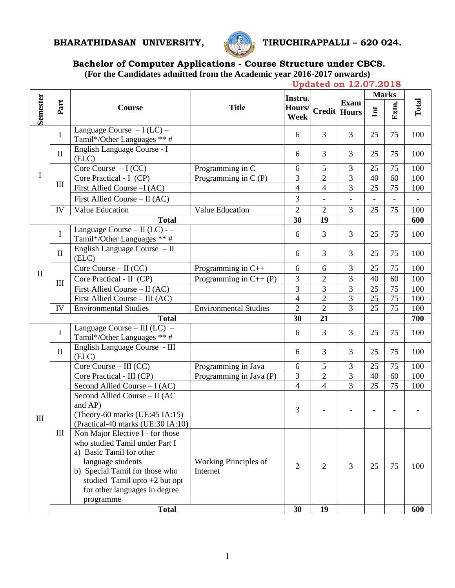# **BHARATHIDASAN UNIVERSITY, TIRUCHIRAPPALLI – 620 024.**



# **Bachelor of Computer Applications - Course Structure under CBCS.**

**(For the Candidates admitted from the Academic year 2016-2017 onwards)**

|              |                    | <b>Updated on 12.07.2018</b>                                                                                                                                                                                                           |                                   |                       |                          |                          |                          |                          |                          |
|--------------|--------------------|----------------------------------------------------------------------------------------------------------------------------------------------------------------------------------------------------------------------------------------|-----------------------------------|-----------------------|--------------------------|--------------------------|--------------------------|--------------------------|--------------------------|
|              | Part               | Course                                                                                                                                                                                                                                 | <b>Title</b>                      | Instru.               | <b>Credit   Hours</b>    | <b>Exam</b>              | <b>Marks</b>             |                          |                          |
| Semester     |                    |                                                                                                                                                                                                                                        |                                   | Hours/<br><b>Week</b> |                          |                          | Int                      | Extn.                    | Total                    |
| $\mathbf I$  | I                  | Language Course $-I (LC)$ –<br>Tamil*/Other Languages ** #                                                                                                                                                                             |                                   | 6                     | $\overline{3}$           | $\overline{3}$           | 25                       | 75                       | 100                      |
|              | $\mathbf{I}$       | English Language Course - I<br>(ELC)                                                                                                                                                                                                   |                                   | 6                     | 3                        | 3                        | 25                       | 75                       | 100                      |
|              | $\mathop{\rm III}$ | Core Course $-I (CC)$                                                                                                                                                                                                                  | Programming in C                  | 6                     | 5                        | 3                        | 25                       | 75                       | 100                      |
|              |                    | Core Practical - I (CP)                                                                                                                                                                                                                | Programming in $C(P)$             | 3                     | $\overline{2}$           | 3                        | 40                       | 60                       | 100                      |
|              |                    | First Allied Course -I (AC)                                                                                                                                                                                                            |                                   | $\overline{4}$        | $\overline{4}$           | 3                        | 25                       | 75                       | 100                      |
|              |                    | First Allied Course $-$ II (AC)                                                                                                                                                                                                        |                                   | 3                     | $\overline{\phantom{a}}$ | $\overline{\phantom{a}}$ | $\overline{\phantom{0}}$ | $\overline{\phantom{a}}$ | $\overline{\phantom{0}}$ |
|              | IV                 | Value Education                                                                                                                                                                                                                        | Value Education                   | $\overline{2}$        | $\overline{2}$           | $\overline{3}$           | 25                       | 75                       | 100                      |
|              |                    | <b>Total</b>                                                                                                                                                                                                                           |                                   |                       | 19                       |                          |                          |                          | 600                      |
|              | I                  | Language Course $-$ II (LC) - $-$<br>Tamil*/Other Languages ** #                                                                                                                                                                       |                                   | 6                     | 3                        | $\overline{3}$           | 25                       | 75                       | 100                      |
|              | $\mathbf{I}$       | English Language Course - II<br>(ELC)                                                                                                                                                                                                  |                                   | 6                     | 3                        | 3                        | 25                       | 75                       | 100                      |
|              | $\mathop{\rm III}$ | Core Course $-$ II (CC)                                                                                                                                                                                                                | Programming in $C++$              | 6                     | 6                        | 3                        | 25                       | 75                       | 100                      |
| $\mathbf{I}$ |                    | Core Practical - II (CP)                                                                                                                                                                                                               | Programming in $C++$ (P)          | 3                     | $\overline{2}$           | 3                        | 40                       | 60                       | 100                      |
|              |                    | First Allied Course - II (AC)                                                                                                                                                                                                          |                                   | 3                     | 3                        | 3                        | 25                       | 75                       | 100                      |
|              |                    | First Allied Course – III (AC)                                                                                                                                                                                                         |                                   | $\overline{4}$        | $\overline{2}$           | 3                        | 25                       | 75                       | 100                      |
|              | IV                 | <b>Environmental Studies</b>                                                                                                                                                                                                           | <b>Environmental Studies</b>      | $\overline{2}$        | $\overline{2}$           | 3                        | 25                       | 75                       | 100                      |
|              |                    | <b>Total</b>                                                                                                                                                                                                                           |                                   |                       | 21                       |                          |                          |                          | 700                      |
|              | $\mathbf I$        | Language Course – III $\overline{(LC)}$ –<br>Tamil*/Other Languages ** #                                                                                                                                                               |                                   | 6                     | 3                        | 3                        | 25                       | 75                       | 100                      |
|              | $\mathbf{I}$       | English Language Course - III<br>(ELC)                                                                                                                                                                                                 |                                   | 6                     | 3                        | 3                        | 25                       | 75                       | 100                      |
|              | Ш                  | Core Course $-$ III (CC)                                                                                                                                                                                                               | Programming in Java               | 6                     | 5                        | 3                        | 25                       | 75                       | 100                      |
|              |                    | Core Practical - III (CP)                                                                                                                                                                                                              | Programming in Java (P)           | 3                     | $\overline{2}$           | 3                        | 40                       | 60                       | 100                      |
|              |                    | Second Allied Course $-I (AC)$                                                                                                                                                                                                         |                                   | $\overline{4}$        | $\overline{4}$           | $\overline{3}$           | 25                       | 75                       | 100                      |
| III          |                    | Second Allied Course - II (AC<br>and AP)<br>(Theory-60 marks (UE:45 IA:15)<br>(Practical-40 marks (UE:30 IA:10)                                                                                                                        |                                   | 3                     | $\overline{\phantom{a}}$ |                          |                          |                          |                          |
|              |                    | Non Major Elective I - for those<br>who studied Tamil under Part I<br>a) Basic Tamil for other<br>language students<br>b) Special Tamil for those who<br>studied Tamil upto $+2$ but opt<br>for other languages in degree<br>programme | Working Principles of<br>Internet | $\mathfrak{2}$        | 2                        | 3                        | 25                       | 75                       | 100                      |
|              | <b>Total</b>       |                                                                                                                                                                                                                                        |                                   | 30                    | 19                       |                          |                          |                          | 600                      |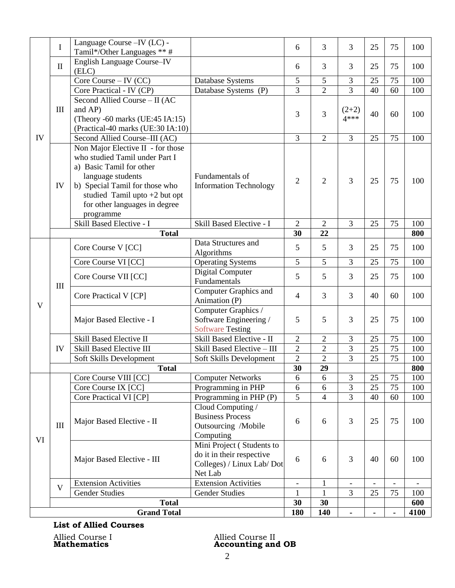|                    | I                  | Language Course - IV (LC) -                |                                                      | 6                        | 3              | 3                        | 25 | 75                       | 100  |
|--------------------|--------------------|--------------------------------------------|------------------------------------------------------|--------------------------|----------------|--------------------------|----|--------------------------|------|
|                    |                    | Tamil*/Other Languages ** #                |                                                      |                          |                |                          |    |                          |      |
|                    | $\rm II$           | <b>English Language Course-IV</b><br>(ELC) |                                                      | 6                        | 3              | 3                        | 25 | 75                       | 100  |
|                    |                    | Core Course $-$ IV (CC)                    | Database Systems                                     | 5                        | 5              | 3                        | 25 | 75                       | 100  |
|                    |                    | Core Practical - IV (CP)                   | Database Systems (P)                                 | $\overline{3}$           | $\overline{2}$ | $\overline{3}$           | 40 | 60                       | 100  |
|                    |                    | Second Allied Course - II (AC              |                                                      |                          |                |                          |    |                          |      |
|                    | $\mathop{\rm III}$ | and AP)                                    |                                                      |                          |                | $(2+2)$                  |    |                          |      |
| IV                 |                    | (Theory -60 marks (UE:45 IA:15)            |                                                      | 3                        | 3              | $4***$                   | 40 | 60                       | 100  |
|                    |                    | (Practical-40 marks (UE:30 IA:10)          |                                                      |                          |                |                          |    |                          |      |
|                    |                    | Second Allied Course-III (AC)              |                                                      | 3                        | $\overline{2}$ | $\overline{3}$           | 25 | 75                       | 100  |
|                    |                    | Non Major Elective II - for those          |                                                      |                          |                |                          |    |                          |      |
|                    |                    | who studied Tamil under Part I             |                                                      |                          |                |                          |    |                          |      |
|                    |                    | a) Basic Tamil for other                   |                                                      |                          |                |                          |    |                          |      |
|                    |                    | language students                          | Fundamentals of                                      |                          |                |                          |    |                          |      |
|                    | IV                 | b) Special Tamil for those who             | <b>Information Technology</b>                        | $\overline{2}$           | $\overline{2}$ | 3                        | 25 | 75                       | 100  |
|                    |                    | studied Tamil upto $+2$ but opt            |                                                      |                          |                |                          |    |                          |      |
|                    |                    | for other languages in degree              |                                                      |                          |                |                          |    |                          |      |
|                    |                    | programme                                  |                                                      |                          |                |                          |    |                          |      |
|                    |                    | Skill Based Elective - I                   | Skill Based Elective - I                             | $\overline{2}$           | $\overline{2}$ | 3                        | 25 | 75                       | 100  |
|                    |                    | <b>Total</b>                               |                                                      | 30                       | 22             |                          |    |                          | 800  |
|                    |                    | Core Course V [CC]                         | Data Structures and                                  | 5                        | 5              | 3                        | 25 | 75                       | 100  |
|                    |                    |                                            | Algorithms                                           |                          |                |                          |    |                          |      |
|                    |                    | Core Course VI [CC]                        | <b>Operating Systems</b>                             | 5                        | $\overline{5}$ | $\overline{3}$           | 25 | 75                       | 100  |
|                    |                    | Core Course VII [CC]                       | <b>Digital Computer</b>                              | 5                        | 5              | 3                        | 25 | 75                       | 100  |
|                    | $\mathop{\rm III}$ |                                            | Fundamentals                                         |                          |                |                          |    |                          |      |
|                    |                    | Core Practical V [CP]                      | Computer Graphics and                                | 4                        | 3              | $\overline{3}$           | 40 | 60                       | 100  |
| V                  |                    |                                            | Animation (P)                                        |                          |                |                          |    |                          |      |
|                    |                    | Major Based Elective - I                   | Computer Graphics /                                  | 5                        | 5              | 3                        | 25 | 75                       | 100  |
|                    |                    |                                            | Software Engineering /                               |                          |                |                          |    |                          |      |
|                    |                    | <b>Skill Based Elective II</b>             | <b>Software Testing</b><br>Skill Based Elective - II | $\overline{c}$           | $\sqrt{2}$     | 3                        | 25 | 75                       | 100  |
|                    | IV                 | <b>Skill Based Elective III</b>            | Skill Based Elective - III                           | $\overline{2}$           | $\overline{2}$ | 3                        | 25 | 75                       | 100  |
|                    |                    | Soft Skills Development                    | Soft Skills Development                              | $\overline{2}$           | $\overline{2}$ | 3                        | 25 | 75                       | 100  |
|                    |                    | <b>Total</b>                               |                                                      | 30                       | 29             |                          |    |                          | 800  |
|                    |                    | Core Course VIII [CC]                      | <b>Computer Networks</b>                             | 6                        | 6              | $\overline{3}$           | 25 | 75                       | 100  |
|                    | $\mathbf{III}$     | Core Course IX [CC]                        | Programming in PHP                                   | 6                        | 6              | 3                        | 25 | 75                       | 100  |
| VI                 |                    | Core Practical VI [CP]                     | Programming in PHP (P)                               | $\overline{5}$           | $\overline{4}$ | $\overline{3}$           | 40 | 60                       | 100  |
|                    |                    |                                            | Cloud Computing /                                    |                          |                |                          |    |                          |      |
|                    |                    | Major Based Elective - II                  | <b>Business Process</b>                              | 6                        | 6              | 3                        | 25 | 75                       | 100  |
|                    |                    |                                            | Outsourcing /Mobile                                  |                          |                |                          |    |                          |      |
|                    |                    |                                            | Computing                                            |                          |                |                          |    |                          |      |
|                    |                    | Major Based Elective - III                 | Mini Project (Students to                            |                          | 6<br>6         | 3                        | 40 | 60                       | 100  |
|                    |                    |                                            | do it in their respective                            |                          |                |                          |    |                          |      |
|                    |                    |                                            | Colleges) / Linux Lab/ Dot                           |                          |                |                          |    |                          |      |
|                    |                    |                                            | Net Lab                                              |                          |                |                          |    |                          |      |
|                    | V                  | <b>Extension Activities</b>                | <b>Extension Activities</b>                          | $\overline{\phantom{a}}$ | $\mathbf{1}$   | $\overline{\phantom{a}}$ |    | $\overline{\phantom{a}}$ |      |
|                    |                    | <b>Gender Studies</b>                      | <b>Gender Studies</b>                                | $\mathbf{1}$             | 1              | 3                        | 25 | 75                       | 100  |
|                    |                    | <b>Total</b>                               |                                                      | 30                       | 30             |                          |    |                          | 600  |
| <b>Grand Total</b> |                    |                                            |                                                      | 180                      | 140            |                          |    |                          | 4100 |

# **List of Allied Courses**

Allied Course I Allied Course II Mathematics **Accounting and OB**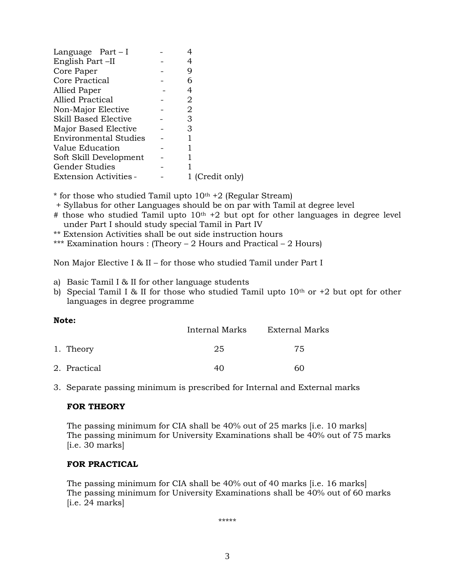| Language $Part-I$            |                 |
|------------------------------|-----------------|
| English Part-II              | 4               |
| Core Paper                   | 9               |
| Core Practical               | 6               |
| Allied Paper                 | 4               |
| Allied Practical             | 2               |
| Non-Major Elective           | 2               |
| <b>Skill Based Elective</b>  | 3               |
| Major Based Elective         | З               |
| <b>Environmental Studies</b> |                 |
| Value Education              |                 |
| Soft Skill Development       |                 |
| <b>Gender Studies</b>        |                 |
| Extension Activities -       | 1 (Credit only) |
|                              |                 |

 $*$  for those who studied Tamil upto  $10<sup>th</sup> + 2$  (Regular Stream)

- + Syllabus for other Languages should be on par with Tamil at degree level
- # those who studied Tamil upto  $10<sup>th</sup> + 2$  but opt for other languages in degree level under Part I should study special Tamil in Part IV
- \*\* Extension Activities shall be out side instruction hours
- \*\*\* Examination hours : (Theory 2 Hours and Practical 2 Hours)

Non Major Elective I & II – for those who studied Tamil under Part I

- a) Basic Tamil I & II for other language students
- b) Special Tamil I & II for those who studied Tamil upto  $10<sup>th</sup>$  or  $+2$  but opt for other languages in degree programme

#### **Note:**

|              | Internal Marks | External Marks |  |  |  |
|--------------|----------------|----------------|--|--|--|
| 1. Theory    | 25             | 75             |  |  |  |
| 2. Practical | 40             | 60             |  |  |  |

3. Separate passing minimum is prescribed for Internal and External marks

#### **FOR THEORY**

The passing minimum for CIA shall be 40% out of 25 marks [i.e. 10 marks] The passing minimum for University Examinations shall be 40% out of 75 marks  $[i.e. 30 marks]$ 

#### **FOR PRACTICAL**

The passing minimum for CIA shall be 40% out of 40 marks [i.e. 16 marks] The passing minimum for University Examinations shall be 40% out of 60 marks  $[i.e. 24 marks]$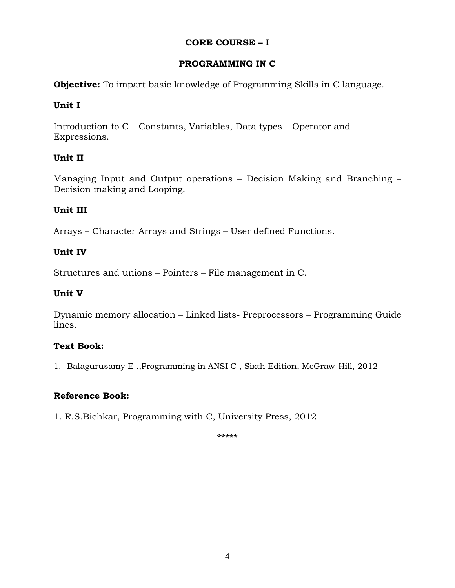# **CORE COURSE – I**

# **PROGRAMMING IN C**

**Objective:** To impart basic knowledge of Programming Skills in C language.

# **Unit I**

Introduction to C – Constants, Variables, Data types – Operator and Expressions.

# **Unit II**

Managing Input and Output operations – Decision Making and Branching – Decision making and Looping.

# **Unit III**

Arrays – Character Arrays and Strings – User defined Functions.

# **Unit IV**

Structures and unions – Pointers – File management in C.

# **Unit V**

Dynamic memory allocation – Linked lists- Preprocessors – Programming Guide lines.

# **Text Book:**

1. Balagurusamy E .,Programming in ANSI C , Sixth Edition, McGraw-Hill, 2012

# **Reference Book:**

1. R.S.Bichkar, Programming with C, University Press, 2012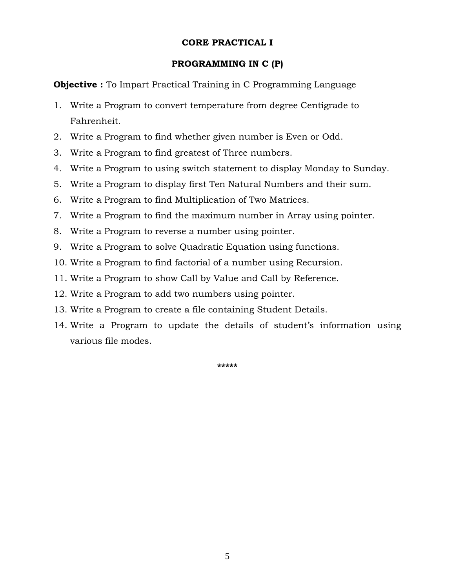# **CORE PRACTICAL I**

### **PROGRAMMING IN C (P)**

**Objective :** To Impart Practical Training in C Programming Language

- 1. Write a Program to convert temperature from degree Centigrade to Fahrenheit.
- 2. Write a Program to find whether given number is Even or Odd.
- 3. Write a Program to find greatest of Three numbers.
- 4. Write a Program to using switch statement to display Monday to Sunday.
- 5. Write a Program to display first Ten Natural Numbers and their sum.
- 6. Write a Program to find Multiplication of Two Matrices.
- 7. Write a Program to find the maximum number in Array using pointer.
- 8. Write a Program to reverse a number using pointer.
- 9. Write a Program to solve Quadratic Equation using functions.
- 10. Write a Program to find factorial of a number using Recursion.
- 11. Write a Program to show Call by Value and Call by Reference.
- 12. Write a Program to add two numbers using pointer.
- 13. Write a Program to create a file containing Student Details.
- 14. Write a Program to update the details of student's information using various file modes.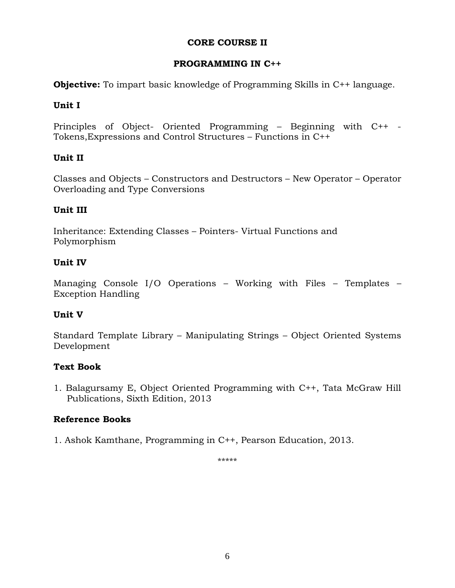# **CORE COURSE II**

# **PROGRAMMING IN C++**

**Objective:** To impart basic knowledge of Programming Skills in C<sup>++</sup> language.

# **Unit I**

Principles of Object- Oriented Programming – Beginning with C++ - Tokens,Expressions and Control Structures – Functions in C++

# **Unit II**

Classes and Objects – Constructors and Destructors – New Operator – Operator Overloading and Type Conversions

# **Unit III**

Inheritance: Extending Classes – Pointers- Virtual Functions and Polymorphism

# **Unit IV**

Managing Console I/O Operations – Working with Files – Templates – Exception Handling

# **Unit V**

Standard Template Library – Manipulating Strings – Object Oriented Systems Development

# **Text Book**

1. Balagursamy E, Object Oriented Programming with C++, Tata McGraw Hill Publications, Sixth Edition, 2013

# **Reference Books**

1. Ashok Kamthane, Programming in C++, Pearson Education, 2013.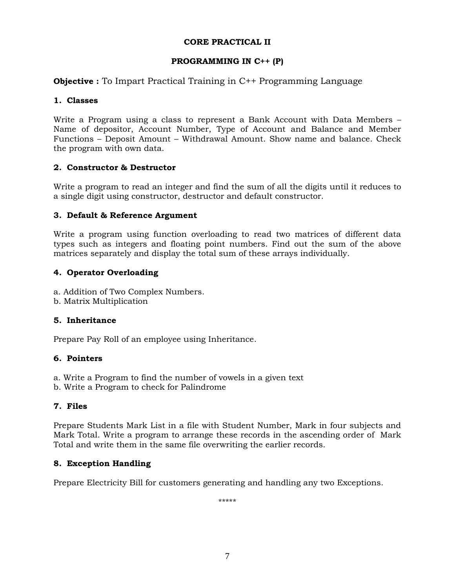### **CORE PRACTICAL II**

### **PROGRAMMING IN C++ (P)**

### **Objective :** To Impart Practical Training in C<sup>++</sup> Programming Language

#### **1. Classes**

Write a Program using a class to represent a Bank Account with Data Members – Name of depositor, Account Number, Type of Account and Balance and Member Functions – Deposit Amount – Withdrawal Amount. Show name and balance. Check the program with own data.

#### **2. Constructor & Destructor**

Write a program to read an integer and find the sum of all the digits until it reduces to a single digit using constructor, destructor and default constructor.

#### **3. Default & Reference Argument**

Write a program using function overloading to read two matrices of different data types such as integers and floating point numbers. Find out the sum of the above matrices separately and display the total sum of these arrays individually.

#### **4. Operator Overloading**

- a. Addition of Two Complex Numbers.
- b. Matrix Multiplication

#### **5. Inheritance**

Prepare Pay Roll of an employee using Inheritance.

#### **6. Pointers**

- a. Write a Program to find the number of vowels in a given text
- b. Write a Program to check for Palindrome

### **7. Files**

Prepare Students Mark List in a file with Student Number, Mark in four subjects and Mark Total. Write a program to arrange these records in the ascending order of Mark Total and write them in the same file overwriting the earlier records.

### **8. Exception Handling**

Prepare Electricity Bill for customers generating and handling any two Exceptions.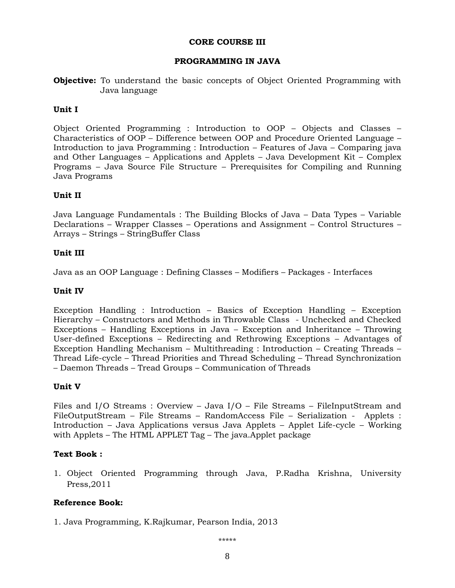#### **CORE COURSE III**

### **PROGRAMMING IN JAVA**

**Objective:** To understand the basic concepts of Object Oriented Programming with Java language

#### **Unit I**

Object Oriented Programming : Introduction to OOP – Objects and Classes – Characteristics of OOP – Difference between OOP and Procedure Oriented Language – Introduction to java Programming : Introduction – Features of Java – Comparing java and Other Languages – Applications and Applets – Java Development Kit – Complex Programs – Java Source File Structure – Prerequisites for Compiling and Running Java Programs

#### **Unit II**

Java Language Fundamentals : The Building Blocks of Java – Data Types – Variable Declarations – Wrapper Classes – Operations and Assignment – Control Structures – Arrays – Strings – StringBuffer Class

#### **Unit III**

Java as an OOP Language : Defining Classes – Modifiers – Packages - Interfaces

#### **Unit IV**

Exception Handling : Introduction – Basics of Exception Handling – Exception Hierarchy – Constructors and Methods in Throwable Class - Unchecked and Checked Exceptions – Handling Exceptions in Java – Exception and Inheritance – Throwing User-defined Exceptions – Redirecting and Rethrowing Exceptions – Advantages of Exception Handling Mechanism – Multithreading : Introduction – Creating Threads – Thread Life-cycle – Thread Priorities and Thread Scheduling – Thread Synchronization – Daemon Threads – Tread Groups – Communication of Threads

#### **Unit V**

Files and I/O Streams : Overview – Java I/O – File Streams – FileInputStream and FileOutputStream – File Streams – RandomAccess File – Serialization - Applets : Introduction – Java Applications versus Java Applets – Applet Life-cycle – Working with Applets – The HTML APPLET Tag – The java.Applet package

#### **Text Book :**

1. Object Oriented Programming through Java, P.Radha Krishna, University Press,2011

#### **Reference Book:**

1. Java Programming, K.Rajkumar, Pearson India, 2013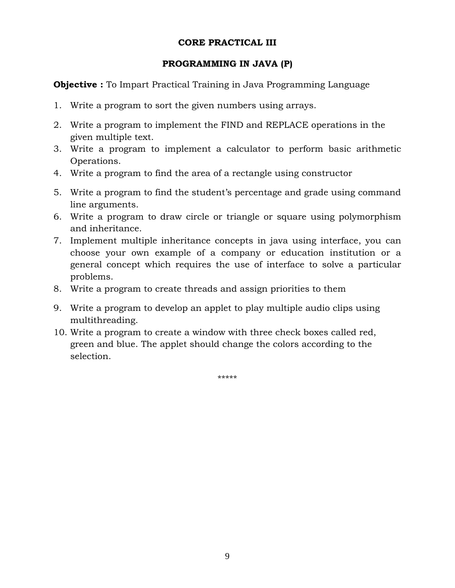# **CORE PRACTICAL III**

# **PROGRAMMING IN JAVA (P)**

**Objective :** To Impart Practical Training in Java Programming Language

- 1. Write a program to sort the given numbers using arrays.
- 2. Write a program to implement the FIND and REPLACE operations in the given multiple text.
- 3. Write a program to implement a calculator to perform basic arithmetic Operations.
- 4. Write a program to find the area of a rectangle using constructor
- 5. Write a program to find the student's percentage and grade using command line arguments.
- 6. Write a program to draw circle or triangle or square using polymorphism and inheritance.
- 7. Implement multiple inheritance concepts in java using interface, you can choose your own example of a company or education institution or a general concept which requires the use of interface to solve a particular problems.
- 8. Write a program to create threads and assign priorities to them
- 9. Write a program to develop an applet to play multiple audio clips using multithreading.
- 10. Write a program to create a window with three check boxes called red, green and blue. The applet should change the colors according to the selection.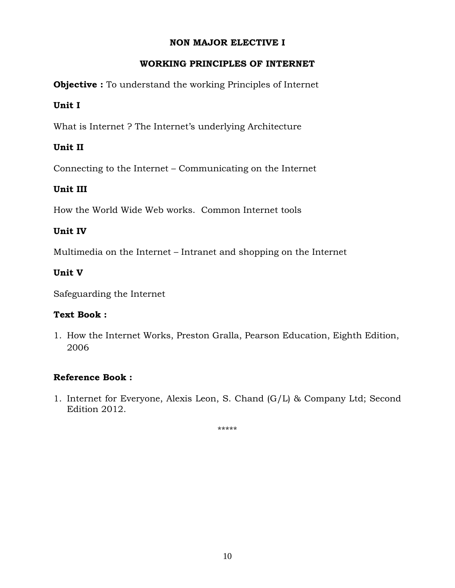# **NON MAJOR ELECTIVE I**

# **WORKING PRINCIPLES OF INTERNET**

**Objective :** To understand the working Principles of Internet

# **Unit I**

What is Internet ? The Internet's underlying Architecture

# **Unit II**

Connecting to the Internet – Communicating on the Internet

# **Unit III**

How the World Wide Web works. Common Internet tools

# **Unit IV**

Multimedia on the Internet – Intranet and shopping on the Internet

# **Unit V**

Safeguarding the Internet

# **Text Book :**

1. How the Internet Works, Preston Gralla, Pearson Education, Eighth Edition, 2006

# **Reference Book :**

1. Internet for Everyone, Alexis Leon, S. Chand (G/L) & Company Ltd; Second Edition 2012.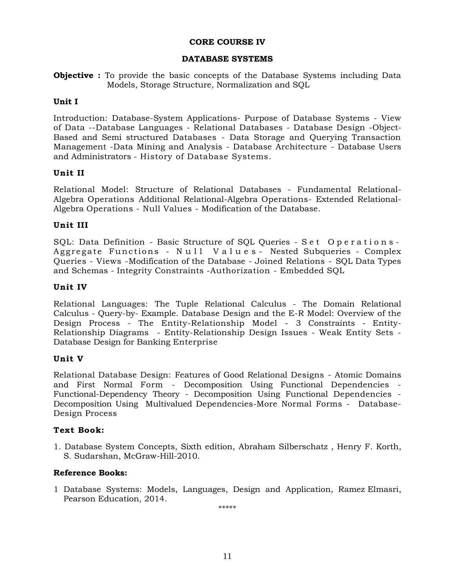### **CORE COURSE IV**

#### **DATABASE SYSTEMS**

**Objective :** To provide the basic concepts of the Database Systems including Data Models, Storage Structure, Normalization and SQL

#### **Unit I**

Introduction: Database-System Applications- Purpose of Database Systems - View of Data --Database Languages - Relational Databases - Database Design -Object-Based and Semi structured Databases - Data Storage and Querying Transaction Management -Data Mining and Analysis - Database Architecture - Database Users and Administrators - History of Database Systems.

### **Unit II**

Relational Model: Structure of Relational Databases - Fundamental Relational-Algebra Operations Additional Relational-Algebra Operations- Extended Relational-Algebra Operations - Null Values - Modification of the Database.

#### **Unit III**

SQL: Data Definition - Basic Structure of SQL Queries - Set Operations -Aggregate Functions - Null Values - Nested Subqueries - Complex Queries - Views -Modification of the Database - Joined Relations - SQL Data Types and Schemas - Integrity Constraints -Authorization - Embedded SQL

#### **Unit IV**

Relational Languages: The Tuple Relational Calculus - The Domain Relational Calculus - Query-by- Example. Database Design and the E-R Model: Overview of the Design Process - The Entity-Relationship Model - 3 Constraints - Entity-Relationship Diagrams - Entity-Relationship Design Issues - Weak Entity Sets - Database Design for Banking Enterprise

#### **Unit V**

Relational Database Design: Features of Good Relational Designs - Atomic Domains and First Normal Form - Decomposition Using Functional Dependencies - Functional-Dependency Theory - Decomposition Using Functional Dependencies - Decomposition Using Multivalued Dependencies-More Normal Forms - Database-Design Process

#### **Text Book:**

1. Database System Concepts, Sixth edition, Abraham Silberschatz , Henry F. Korth, S. Sudarshan, McGraw-Hill-2010.

#### **Reference Books:**

1 Database Systems: Models, Languages, Design and Application, Ramez Elmasri, Pearson Education, 2014.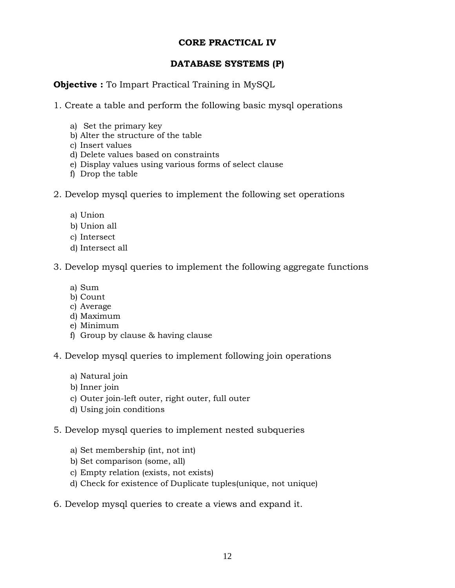# **CORE PRACTICAL IV**

# **DATABASE SYSTEMS (P)**

# **Objective :** To Impart Practical Training in MySQL

1. Create a table and perform the following basic mysql operations

- a) Set the primary key
- b) Alter the structure of the table
- c) Insert values
- d) Delete values based on constraints
- e) Display values using various forms of select clause
- f) Drop the table
- 2. Develop mysql queries to implement the following set operations
	- a) Union
	- b) Union all
	- c) Intersect
	- d) Intersect all
- 3. Develop mysql queries to implement the following aggregate functions
	- a) Sum
	- b) Count
	- c) Average
	- d) Maximum
	- e) Minimum
	- f) Group by clause & having clause
- 4. Develop mysql queries to implement following join operations
	- a) Natural join
	- b) Inner join
	- c) Outer join-left outer, right outer, full outer
	- d) Using join conditions
- 5. Develop mysql queries to implement nested subqueries
	- a) Set membership (int, not int)
	- b) Set comparison (some, all)
	- c) Empty relation (exists, not exists)
	- d) Check for existence of Duplicate tuples(unique, not unique)
- 6. Develop mysql queries to create a views and expand it.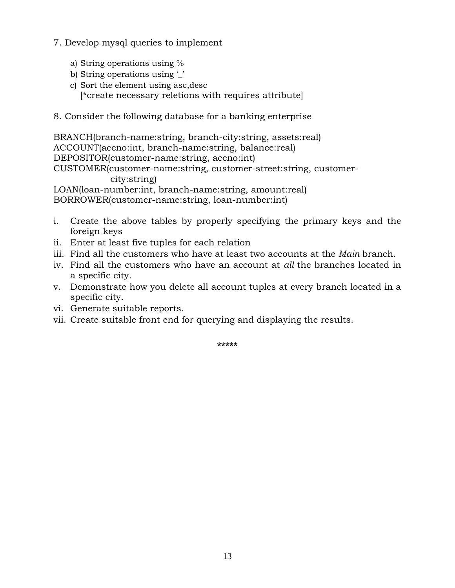- 7. Develop mysql queries to implement
	- a) String operations using %
	- b) String operations using ''
	- c) Sort the element using asc,desc [\*create necessary reletions with requires attribute]
- 8. Consider the following database for a banking enterprise

BRANCH(branch-name:string, branch-city:string, assets:real) ACCOUNT(accno:int, branch-name:string, balance:real) DEPOSITOR(customer-name:string, accno:int) CUSTOMER(customer-name:string, customer-street:string, customercity:string) LOAN(loan-number:int, branch-name:string, amount:real) BORROWER(customer-name:string, loan-number:int)

- i. Create the above tables by properly specifying the primary keys and the foreign keys
- ii. Enter at least five tuples for each relation
- iii. Find all the customers who have at least two accounts at the *Main* branch.
- iv. Find all the customers who have an account at *all* the branches located in a specific city.
- v. Demonstrate how you delete all account tuples at every branch located in a specific city.
- vi. Generate suitable reports.
- vii. Create suitable front end for querying and displaying the results.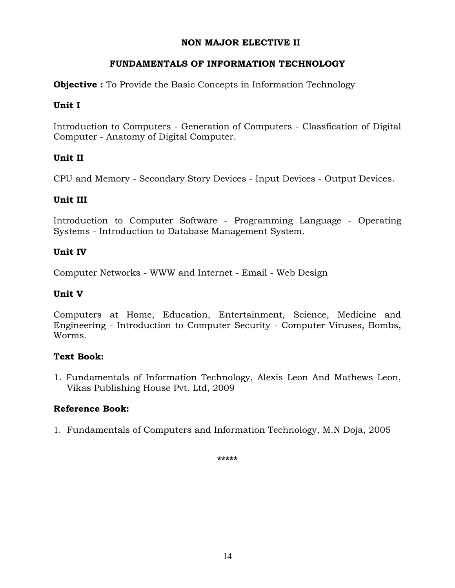# **NON MAJOR ELECTIVE II**

# **FUNDAMENTALS OF INFORMATION TECHNOLOGY**

**Objective :** To Provide the Basic Concepts in Information Technology

# **Unit I**

Introduction to Computers - Generation of Computers - Classfication of Digital Computer - Anatomy of Digital Computer.

# **Unit II**

CPU and Memory - Secondary Story Devices - Input Devices - Output Devices.

# **Unit III**

Introduction to Computer Software - Programming Language - Operating Systems - Introduction to Database Management System.

# **Unit IV**

Computer Networks - WWW and Internet - Email - Web Design

# **Unit V**

Computers at Home, Education, Entertainment, Science, Medicine and Engineering - Introduction to Computer Security - Computer Viruses, Bombs, Worms.

# **Text Book:**

1. Fundamentals of Information Technology, Alexis Leon And Mathews Leon, Vikas Publishing House Pvt. Ltd, 2009

# **Reference Book:**

1. Fundamentals of Computers and Information Technology, M.N Doja, 2005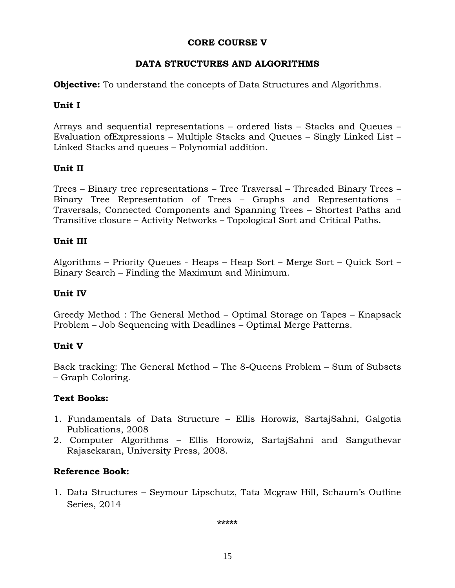# **CORE COURSE V**

# **DATA STRUCTURES AND ALGORITHMS**

**Objective:** To understand the concepts of Data Structures and Algorithms.

# **Unit I**

Arrays and sequential representations – ordered lists – Stacks and Queues – Evaluation ofExpressions – Multiple Stacks and Queues – Singly Linked List – Linked Stacks and queues – Polynomial addition.

# **Unit II**

Trees – Binary tree representations – Tree Traversal – Threaded Binary Trees – Binary Tree Representation of Trees – Graphs and Representations – Traversals, Connected Components and Spanning Trees – Shortest Paths and Transitive closure – Activity Networks – Topological Sort and Critical Paths.

# **Unit III**

Algorithms – Priority Queues - Heaps – Heap Sort – Merge Sort – Quick Sort – Binary Search – Finding the Maximum and Minimum.

# **Unit IV**

Greedy Method : The General Method – Optimal Storage on Tapes – Knapsack Problem – Job Sequencing with Deadlines – Optimal Merge Patterns.

# **Unit V**

Back tracking: The General Method – The 8-Queens Problem – Sum of Subsets – Graph Coloring.

# **Text Books:**

- 1. Fundamentals of Data Structure Ellis Horowiz, SartajSahni, Galgotia Publications, 2008
- 2. Computer Algorithms Ellis Horowiz, SartajSahni and Sanguthevar Rajasekaran, University Press, 2008.

# **Reference Book:**

1. Data Structures – Seymour Lipschutz, Tata Mcgraw Hill, Schaum's Outline Series, 2014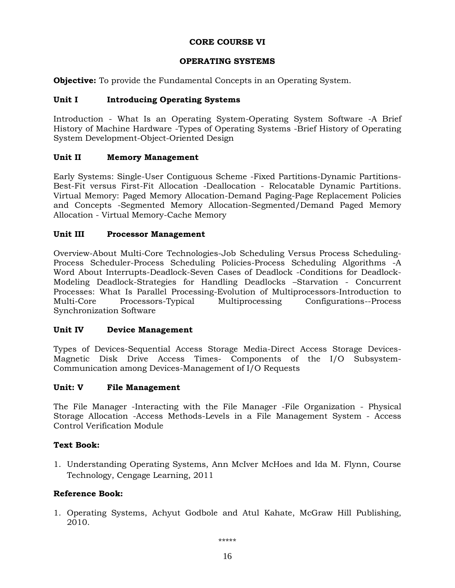### **CORE COURSE VI**

### **OPERATING SYSTEMS**

**Objective:** To provide the Fundamental Concepts in an Operating System.

### **Unit I Introducing Operating Systems**

Introduction - What Is an Operating System-Operating System Software -A Brief History of Machine Hardware -Types of Operating Systems -Brief History of Operating System Development-Object-Oriented Design

#### **Unit II Memory Management**

Early Systems: Single-User Contiguous Scheme -Fixed Partitions-Dynamic Partitions-Best-Fit versus First-Fit Allocation -Deallocation - Relocatable Dynamic Partitions. Virtual Memory: Paged Memory Allocation-Demand Paging-Page Replacement Policies and Concepts -Segmented Memory Allocation-Segmented/Demand Paged Memory Allocation - Virtual Memory-Cache Memory

#### **Unit III Processor Management**

Overview-About Multi-Core Technologies-Job Scheduling Versus Process Scheduling-Process Scheduler-Process Scheduling Policies-Process Scheduling Algorithms -A Word About Interrupts-Deadlock-Seven Cases of Deadlock -Conditions for Deadlock-Modeling Deadlock-Strategies for Handling Deadlocks –Starvation - Concurrent Processes: What Is Parallel Processing-Evolution of Multiprocessors-Introduction to Multi-Core Processors-Typical Multiprocessing Configurations--Process Synchronization Software

### **Unit IV Device Management**

Types of Devices-Sequential Access Storage Media-Direct Access Storage Devices-Magnetic Disk Drive Access Times- Components of the I/O Subsystem-Communication among Devices-Management of I/O Requests

#### **Unit: V File Management**

The File Manager -Interacting with the File Manager -File Organization - Physical Storage Allocation -Access Methods-Levels in a File Management System - Access Control Verification Module

### **Text Book:**

1. Understanding Operating Systems, Ann McIver McHoes and Ida M. Flynn, Course Technology, Cengage Learning, 2011

### **Reference Book:**

1. Operating Systems, Achyut Godbole and Atul Kahate, McGraw Hill Publishing, 2010.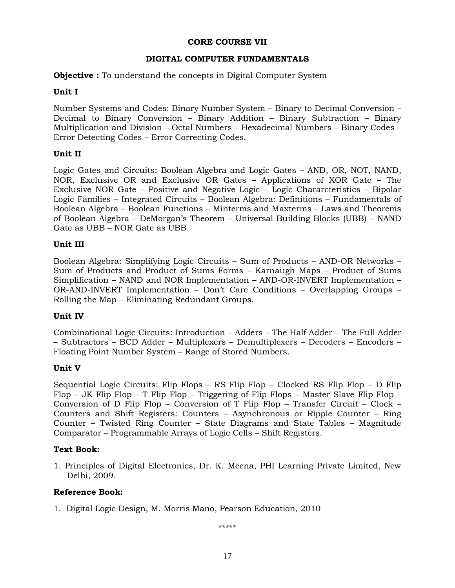### **CORE COURSE VII**

### **DIGITAL COMPUTER FUNDAMENTALS**

**Objective :** To understand the concepts in Digital Computer System

### **Unit I**

Number Systems and Codes: Binary Number System – Binary to Decimal Conversion – Decimal to Binary Conversion – Binary Addition – Binary Subtraction – Binary Multiplication and Division – Octal Numbers – Hexadecimal Numbers – Binary Codes – Error Detecting Codes – Error Correcting Codes.

### **Unit II**

Logic Gates and Circuits: Boolean Algebra and Logic Gates – AND, OR, NOT, NAND, NOR, Exclusive OR and Exclusive OR Gates – Applications of XOR Gate – The Exclusive NOR Gate – Positive and Negative Logic – Logic Chararcteristics – Bipolar Logic Families – Integrated Circuits – Boolean Algebra: Definitions – Fundamentals of Boolean Algebra – Boolean Functions – Minterms and Maxterms – Laws and Theorems of Boolean Algebra – DeMorgan's Theorem – Universal Building Blocks (UBB) – NAND Gate as UBB – NOR Gate as UBB.

### **Unit III**

Boolean Algebra: Simplifying Logic Circuits – Sum of Products – AND-OR Networks – Sum of Products and Product of Sums Forms – Karnaugh Maps – Product of Sums Simplification – NAND and NOR Implementation – AND-OR-INVERT Implementation – OR-AND-INVERT Implementation – Don't Care Conditions – Overlapping Groups – Rolling the Map – Eliminating Redundant Groups.

### **Unit IV**

Combinational Logic Circuits: Introduction – Adders – The Half Adder – The Full Adder – Subtractors – BCD Adder – Multiplexers – Demultiplexers – Decoders – Encoders – Floating Point Number System – Range of Stored Numbers.

### **Unit V**

Sequential Logic Circuits: Flip Flops – RS Flip Flop – Clocked RS Flip Flop – D Flip Flop – JK Flip Flop – T Flip Flop – Triggering of Flip Flops – Master Slave Flip Flop – Conversion of D Flip Flop – Conversion of T Flip Flop – Transfer Circuit – Clock – Counters and Shift Registers: Counters – Asynchronous or Ripple Counter – Ring Counter – Twisted Ring Counter – State Diagrams and State Tables – Magnitude Comparator – Programmable Arrays of Logic Cells – Shift Registers.

### **Text Book:**

1. Principles of Digital Electronics, Dr. K. Meena, PHI Learning Private Limited, New Delhi, 2009.

### **Reference Book:**

1. Digital Logic Design, M. Morris Mano, Pearson Education, 2010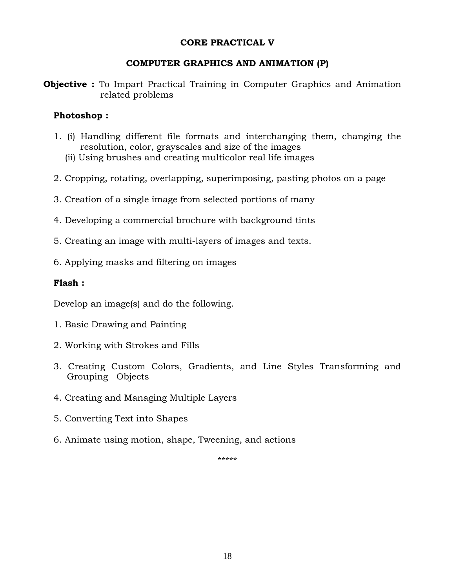### **CORE PRACTICAL V**

### **COMPUTER GRAPHICS AND ANIMATION (P)**

**Objective :** To Impart Practical Training in Computer Graphics and Animation related problems

### **Photoshop :**

- 1. (i) Handling different file formats and interchanging them, changing the resolution, color, grayscales and size of the images
	- (ii) Using brushes and creating multicolor real life images
- 2. Cropping, rotating, overlapping, superimposing, pasting photos on a page
- 3. Creation of a single image from selected portions of many
- 4. Developing a commercial brochure with background tints
- 5. Creating an image with multi-layers of images and texts.
- 6. Applying masks and filtering on images

### **Flash :**

Develop an image(s) and do the following.

- 1. Basic Drawing and Painting
- 2. Working with Strokes and Fills
- 3. Creating Custom Colors, Gradients, and Line Styles Transforming and Grouping Objects
- 4. Creating and Managing Multiple Layers
- 5. Converting Text into Shapes
- 6. Animate using motion, shape, Tweening, and actions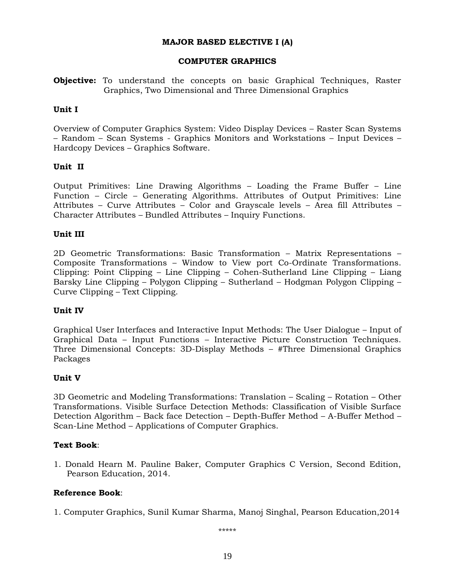#### **MAJOR BASED ELECTIVE I (A)**

#### **COMPUTER GRAPHICS**

**Objective:** To understand the concepts on basic Graphical Techniques, Raster Graphics, Two Dimensional and Three Dimensional Graphics

#### **Unit I**

Overview of Computer Graphics System: Video Display Devices – Raster Scan Systems – Random – Scan Systems - Graphics Monitors and Workstations – Input Devices – Hardcopy Devices – Graphics Software.

#### **Unit II**

Output Primitives: Line Drawing Algorithms – Loading the Frame Buffer – Line Function – Circle – Generating Algorithms. Attributes of Output Primitives: Line Attributes – Curve Attributes – Color and Grayscale levels – Area fill Attributes – Character Attributes – Bundled Attributes – Inquiry Functions.

#### **Unit III**

2D Geometric Transformations: Basic Transformation – Matrix Representations – Composite Transformations – Window to View port Co-Ordinate Transformations. Clipping: Point Clipping – Line Clipping – Cohen-Sutherland Line Clipping – Liang Barsky Line Clipping – Polygon Clipping – Sutherland – Hodgman Polygon Clipping – Curve Clipping – Text Clipping.

#### **Unit IV**

Graphical User Interfaces and Interactive Input Methods: The User Dialogue – Input of Graphical Data – Input Functions – Interactive Picture Construction Techniques. Three Dimensional Concepts: 3D-Display Methods – #Three Dimensional Graphics Packages

#### **Unit V**

3D Geometric and Modeling Transformations: Translation – Scaling – Rotation – Other Transformations. Visible Surface Detection Methods: Classification of Visible Surface Detection Algorithm – Back face Detection – Depth-Buffer Method – A-Buffer Method – Scan-Line Method – Applications of Computer Graphics.

#### **Text Book**:

1. Donald Hearn M. Pauline Baker, Computer Graphics C Version, Second Edition, Pearson Education, 2014.

#### **Reference Book**:

1. Computer Graphics, Sunil Kumar Sharma, Manoj Singhal, Pearson Education,2014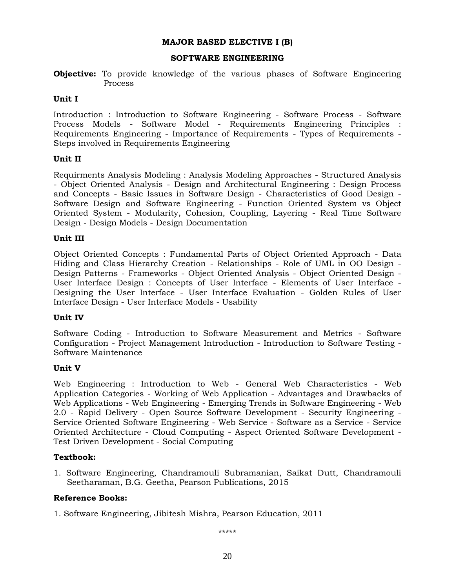#### **MAJOR BASED ELECTIVE I (B)**

#### **SOFTWARE ENGINEERING**

**Objective:** To provide knowledge of the various phases of Software Engineering Process

#### **Unit I**

Introduction : Introduction to Software Engineering - Software Process - Software Process Models - Software Model - Requirements Engineering Principles : Requirements Engineering - Importance of Requirements - Types of Requirements - Steps involved in Requirements Engineering

#### **Unit II**

Requirments Analysis Modeling : Analysis Modeling Approaches - Structured Analysis - Object Oriented Analysis - Design and Architectural Engineering : Design Process and Concepts - Basic Issues in Software Design - Characteristics of Good Design - Software Design and Software Engineering - Function Oriented System vs Object Oriented System - Modularity, Cohesion, Coupling, Layering - Real Time Software Design - Design Models - Design Documentation

#### **Unit III**

Object Oriented Concepts : Fundamental Parts of Object Oriented Approach - Data Hiding and Class Hierarchy Creation - Relationships - Role of UML in OO Design - Design Patterns - Frameworks - Object Oriented Analysis - Object Oriented Design - User Interface Design : Concepts of User Interface - Elements of User Interface - Designing the User Interface - User Interface Evaluation - Golden Rules of User Interface Design - User Interface Models - Usability

#### **Unit IV**

Software Coding - Introduction to Software Measurement and Metrics - Software Configuration - Project Management Introduction - Introduction to Software Testing - Software Maintenance

#### **Unit V**

Web Engineering : Introduction to Web - General Web Characteristics - Web Application Categories - Working of Web Application - Advantages and Drawbacks of Web Applications - Web Engineering - Emerging Trends in Software Engineering - Web 2.0 - Rapid Delivery - Open Source Software Development - Security Engineering - Service Oriented Software Engineering - Web Service - Software as a Service - Service Oriented Architecture - Cloud Computing - Aspect Oriented Software Development - Test Driven Development - Social Computing

#### **Textbook:**

1. Software Engineering, Chandramouli Subramanian, Saikat Dutt, Chandramouli Seetharaman, B.G. Geetha, Pearson Publications, 2015

#### **Reference Books:**

1. Software Engineering, Jibitesh Mishra, Pearson Education, 2011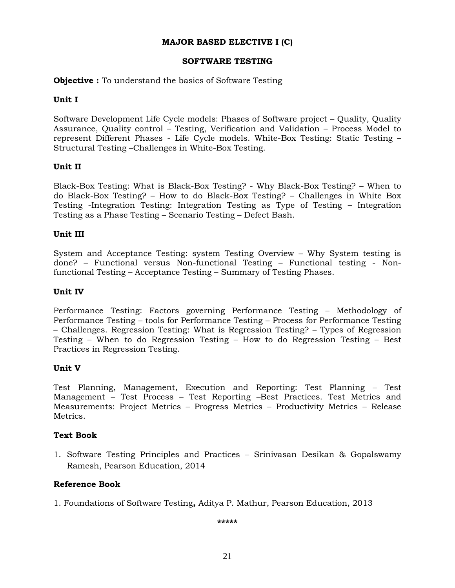#### **MAJOR BASED ELECTIVE I (C)**

#### **SOFTWARE TESTING**

#### **Objective :** To understand the basics of Software Testing

#### **Unit I**

Software Development Life Cycle models: Phases of Software project – Quality, Quality Assurance, Quality control – Testing, Verification and Validation – Process Model to represent Different Phases - Life Cycle models. White-Box Testing: Static Testing – Structural Testing –Challenges in White-Box Testing.

#### **Unit II**

Black-Box Testing: What is Black-Box Testing? - Why Black-Box Testing? – When to do Black-Box Testing? – How to do Black-Box Testing? – Challenges in White Box Testing -Integration Testing: Integration Testing as Type of Testing – Integration Testing as a Phase Testing – Scenario Testing – Defect Bash.

#### **Unit III**

System and Acceptance Testing: system Testing Overview – Why System testing is done? – Functional versus Non-functional Testing – Functional testing - Nonfunctional Testing – Acceptance Testing – Summary of Testing Phases.

#### **Unit IV**

Performance Testing: Factors governing Performance Testing – Methodology of Performance Testing – tools for Performance Testing – Process for Performance Testing – Challenges. Regression Testing: What is Regression Testing? – Types of Regression Testing – When to do Regression Testing – How to do Regression Testing – Best Practices in Regression Testing.

#### **Unit V**

Test Planning, Management, Execution and Reporting: Test Planning – Test Management – Test Process – Test Reporting –Best Practices. Test Metrics and Measurements: Project Metrics – Progress Metrics – Productivity Metrics – Release Metrics.

#### **Text Book**

1. Software Testing Principles and Practices – Srinivasan Desikan & Gopalswamy Ramesh, Pearson Education, 2014

#### **Reference Book**

1. Foundations of Software Testing**,** Aditya P. Mathur, Pearson Education, 2013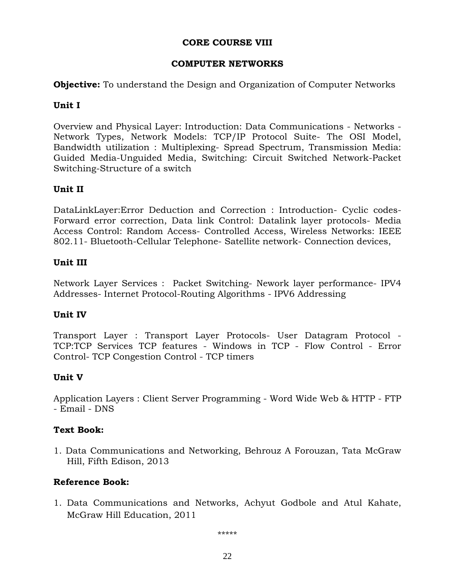# **CORE COURSE VIII**

# **COMPUTER NETWORKS**

**Objective:** To understand the Design and Organization of Computer Networks

# **Unit I**

Overview and Physical Layer: Introduction: Data Communications - Networks - Network Types, Network Models: TCP/IP Protocol Suite- The OSI Model, Bandwidth utilization : Multiplexing- Spread Spectrum, Transmission Media: Guided Media-Unguided Media, Switching: Circuit Switched Network-Packet Switching-Structure of a switch

# **Unit II**

DataLinkLayer:Error Deduction and Correction : Introduction- Cyclic codes-Forward error correction, Data link Control: Datalink layer protocols- Media Access Control: Random Access- Controlled Access, Wireless Networks: IEEE 802.11- Bluetooth-Cellular Telephone- Satellite network- Connection devices,

# **Unit III**

Network Layer Services : Packet Switching- Nework layer performance- IPV4 Addresses- Internet Protocol-Routing Algorithms - IPV6 Addressing

# **Unit IV**

Transport Layer : Transport Layer Protocols- User Datagram Protocol - TCP:TCP Services TCP features - Windows in TCP - Flow Control - Error Control- TCP Congestion Control - TCP timers

# **Unit V**

Application Layers : Client Server Programming - Word Wide Web & HTTP - FTP - Email - DNS

# **Text Book:**

1. Data Communications and Networking, Behrouz A Forouzan, Tata McGraw Hill, Fifth Edison, 2013

# **Reference Book:**

1. [Data Communications and Networks, A](http://www.amazon.in/Data-Communications-Networks-Achyut-Godbole/dp/0071077707/ref=sr_1_fkmr0_1?s=books&ie=UTF8&qid=1454257062&sr=1-1-fkmr0&keywords=astot+godbole+computer+networks)chyut Godbole and Atul Kahate, McGraw Hill Education, 2011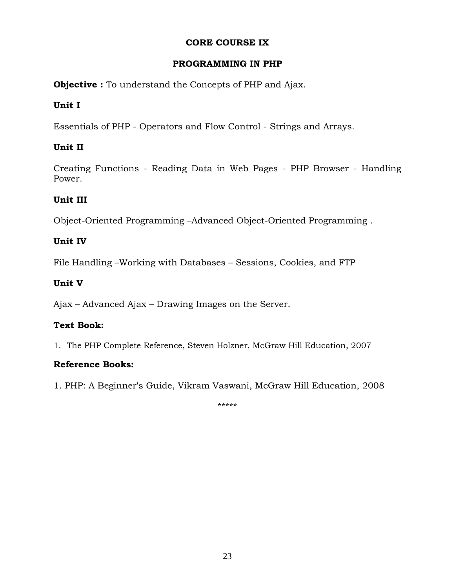# **CORE COURSE IX**

# **PROGRAMMING IN PHP**

**Objective :** To understand the Concepts of PHP and Ajax.

# **Unit I**

Essentials of PHP - Operators and Flow Control - Strings and Arrays.

# **Unit II**

Creating Functions - Reading Data in Web Pages - PHP Browser - Handling Power.

# **Unit III**

Object-Oriented Programming –Advanced Object-Oriented Programming .

# **Unit IV**

File Handling –Working with Databases – Sessions, Cookies, and FTP

# **Unit V**

Ajax – Advanced Ajax – Drawing Images on the Server.

# **Text Book:**

1. The PHP Complete Reference, Steven Holzner, McGraw Hill Education, 2007

# **Reference Books:**

1. [PHP: A Beginner's Guide, Vikram Vaswani,](http://www.amazon.in/PHP-BEGINNERS-GUIDE-Vikram-Vaswani/dp/0070140693/ref=sr_1_2?s=books&ie=UTF8&qid=1454260662&sr=1-2&keywords=php) McGraw Hill Education, 2008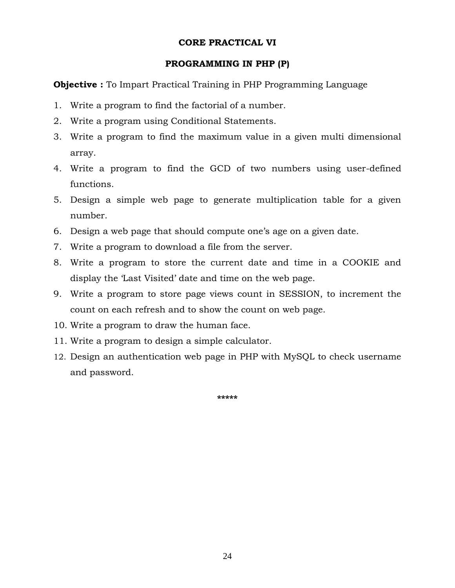### **CORE PRACTICAL VI**

### **PROGRAMMING IN PHP (P)**

**Objective :** To Impart Practical Training in PHP Programming Language

- 1. Write a program to find the factorial of a number.
- 2. Write a program using Conditional Statements.
- 3. Write a program to find the maximum value in a given multi dimensional array.
- 4. Write a program to find the GCD of two numbers using user-defined functions.
- 5. Design a simple web page to generate multiplication table for a given number.
- 6. Design a web page that should compute one's age on a given date.
- 7. Write a program to download a file from the server.
- 8. Write a program to store the current date and time in a COOKIE and display the 'Last Visited' date and time on the web page.
- 9. Write a program to store page views count in SESSION, to increment the count on each refresh and to show the count on web page.
- 10. Write a program to draw the human face.
- 11. Write a program to design a simple calculator.
- 12. Design an authentication web page in PHP with MySQL to check username and password.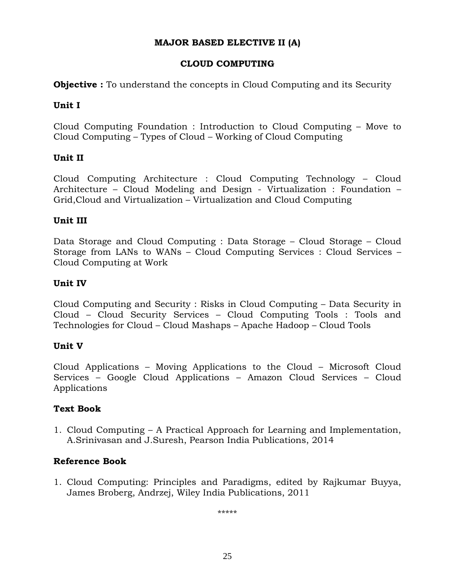# **MAJOR BASED ELECTIVE II (A)**

# **CLOUD COMPUTING**

**Objective :** To understand the concepts in Cloud Computing and its Security

# **Unit I**

Cloud Computing Foundation : Introduction to Cloud Computing – Move to Cloud Computing – Types of Cloud – Working of Cloud Computing

# **Unit II**

Cloud Computing Architecture : Cloud Computing Technology – Cloud Architecture – Cloud Modeling and Design - Virtualization : Foundation – Grid,Cloud and Virtualization – Virtualization and Cloud Computing

# **Unit III**

Data Storage and Cloud Computing : Data Storage – Cloud Storage – Cloud Storage from LANs to WANs – Cloud Computing Services : Cloud Services – Cloud Computing at Work

# **Unit IV**

Cloud Computing and Security : Risks in Cloud Computing – Data Security in Cloud – Cloud Security Services – Cloud Computing Tools : Tools and Technologies for Cloud – Cloud Mashaps – Apache Hadoop – Cloud Tools

# **Unit V**

Cloud Applications – Moving Applications to the Cloud – Microsoft Cloud Services – Google Cloud Applications – Amazon Cloud Services – Cloud Applications

# **Text Book**

1. Cloud Computing – A Practical Approach for Learning and Implementation, A.Srinivasan and J.Suresh, Pearson India Publications, 2014

# **Reference Book**

1. Cloud Computing: Principles and Paradigms, edited by Rajkumar Buyya, James Broberg, Andrzej, Wiley India Publications, 2011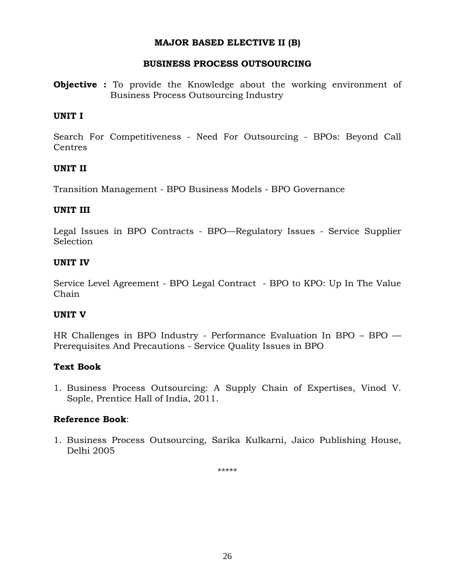### **MAJOR BASED ELECTIVE II (B)**

### **BUSINESS PROCESS OUTSOURCING**

**Objective :** To provide the Knowledge about the working environment of Business Process Outsourcing Industry

### **UNIT I**

Search For Competitiveness - Need For Outsourcing - BPOs: Beyond Call **Centres** 

### **UNIT II**

Transition Management - BPO Business Models - BPO Governance

### **UNIT III**

Legal Issues in BPO Contracts - BPO—Regulatory Issues - Service Supplier Selection

### **UNIT IV**

Service Level Agreement - BPO Legal Contract - BPO to KPO: Up In The Value Chain

# **UNIT V**

HR Challenges in BPO Industry - Performance Evaluation In BPO – BPO — Prerequisites And Precautions - Service Quality Issues in BPO

# **Text Book**

1. Business Process Outsourcing: A Supply Chain of Expertises, Vinod V. Sople, Prentice Hall of India, 2011.

# **Reference Book**:

1. Business Process Outsourcing, Sarika Kulkarni, Jaico Publishing House, Delhi 2005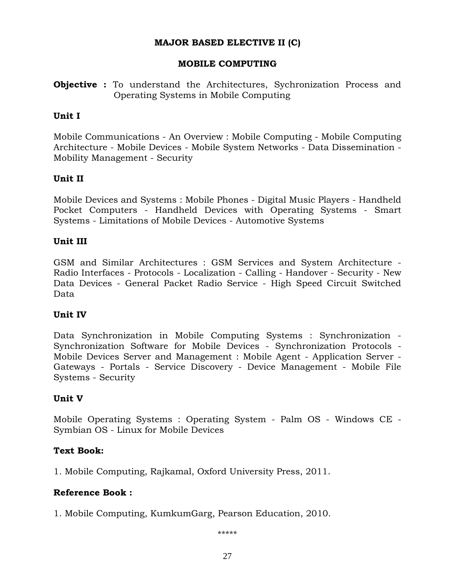### **MAJOR BASED ELECTIVE II (C)**

### **MOBILE COMPUTING**

**Objective :** To understand the Architectures, Sychronization Process and Operating Systems in Mobile Computing

### **Unit I**

Mobile Communications - An Overview : Mobile Computing - Mobile Computing Architecture - Mobile Devices - Mobile System Networks - Data Dissemination - Mobility Management - Security

### **Unit II**

Mobile Devices and Systems : Mobile Phones - Digital Music Players - Handheld Pocket Computers - Handheld Devices with Operating Systems - Smart Systems - Limitations of Mobile Devices - Automotive Systems

### **Unit III**

GSM and Similar Architectures : GSM Services and System Architecture - Radio Interfaces - Protocols - Localization - Calling - Handover - Security - New Data Devices - General Packet Radio Service - High Speed Circuit Switched Data

# **Unit IV**

Data Synchronization in Mobile Computing Systems : Synchronization - Synchronization Software for Mobile Devices - Synchronization Protocols - Mobile Devices Server and Management : Mobile Agent - Application Server - Gateways - Portals - Service Discovery - Device Management - Mobile File Systems - Security

### **Unit V**

Mobile Operating Systems : Operating System - Palm OS - Windows CE - Symbian OS - Linux for Mobile Devices

### **Text Book:**

1. Mobile Computing, Rajkamal, Oxford University Press, 2011.

### **Reference Book :**

1. Mobile Computing, KumkumGarg, Pearson Education, 2010.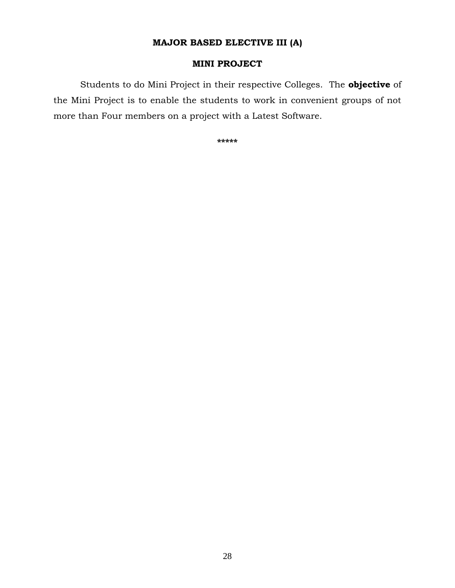# **MAJOR BASED ELECTIVE III (A)**

# **MINI PROJECT**

Students to do Mini Project in their respective Colleges. The **objective** of the Mini Project is to enable the students to work in convenient groups of not more than Four members on a project with a Latest Software.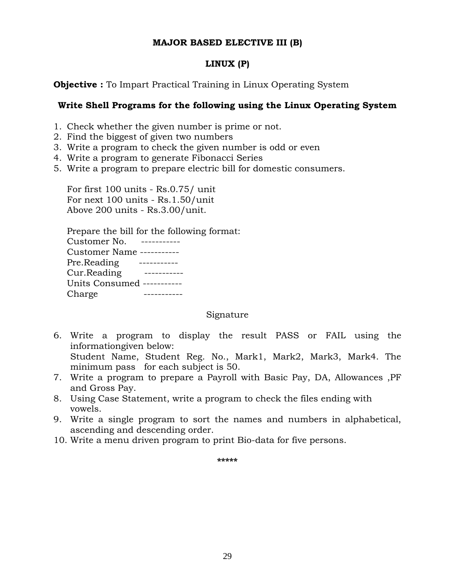### **MAJOR BASED ELECTIVE III (B)**

# **LINUX (P)**

**Objective :** To Impart Practical Training in Linux Operating System

# **Write Shell Programs for the following using the Linux Operating System**

- 1. Check whether the given number is prime or not.
- 2. Find the biggest of given two numbers
- 3. Write a program to check the given number is odd or even
- 4. Write a program to generate Fibonacci Series
- 5. Write a program to prepare electric bill for domestic consumers.

For first 100 units - Rs.0.75/ unit For next 100 units - Rs.1.50/unit Above 200 units - Rs.3.00/unit.

Prepare the bill for the following format: Customer No. ----------- Customer Name ----------- Pre.Reading ----------- Cur.Reading ----------- Units Consumed ----------- Charge -----------

Signature

- 6. Write a program to display the result PASS or FAIL using the informationgiven below: Student Name, Student Reg. No., Mark1, Mark2, Mark3, Mark4. The minimum pass for each subject is 50.
- 7. Write a program to prepare a Payroll with Basic Pay, DA, Allowances ,PF and Gross Pay.
- 8. Using Case Statement, write a program to check the files ending with vowels.
- 9. Write a single program to sort the names and numbers in alphabetical, ascending and descending order.
- 10. Write a menu driven program to print Bio-data for five persons.